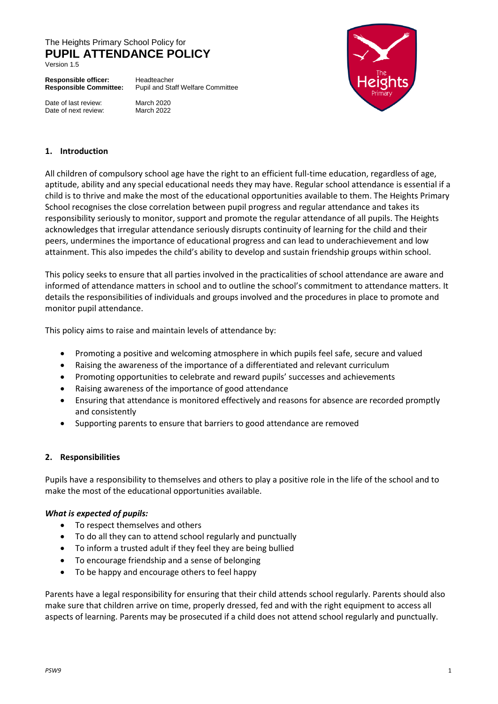# The Heights Primary School Policy for **PUPIL ATTENDANCE POLICY**

Version 1.5

**Responsible officer:** Headteacher<br>**Responsible Committee:** Pupil and Sta

**Responsible Committee:** Pupil and Staff Welfare Committee

Date of last review: March 2020<br>Date of next review: March 2022 Date of next review:



#### **1. Introduction**

All children of compulsory school age have the right to an efficient full-time education, regardless of age, aptitude, ability and any special educational needs they may have. Regular school attendance is essential if a child is to thrive and make the most of the educational opportunities available to them. The Heights Primary School recognises the close correlation between pupil progress and regular attendance and takes its responsibility seriously to monitor, support and promote the regular attendance of all pupils. The Heights acknowledges that irregular attendance seriously disrupts continuity of learning for the child and their peers, undermines the importance of educational progress and can lead to underachievement and low attainment. This also impedes the child's ability to develop and sustain friendship groups within school.

This policy seeks to ensure that all parties involved in the practicalities of school attendance are aware and informed of attendance matters in school and to outline the school's commitment to attendance matters. It details the responsibilities of individuals and groups involved and the procedures in place to promote and monitor pupil attendance.

This policy aims to raise and maintain levels of attendance by:

- Promoting a positive and welcoming atmosphere in which pupils feel safe, secure and valued
- Raising the awareness of the importance of a differentiated and relevant curriculum
- Promoting opportunities to celebrate and reward pupils' successes and achievements
- Raising awareness of the importance of good attendance
- Ensuring that attendance is monitored effectively and reasons for absence are recorded promptly and consistently
- Supporting parents to ensure that barriers to good attendance are removed

#### **2. Responsibilities**

Pupils have a responsibility to themselves and others to play a positive role in the life of the school and to make the most of the educational opportunities available.

#### *What is expected of pupils:*

- To respect themselves and others
- To do all they can to attend school regularly and punctually
- To inform a trusted adult if they feel they are being bullied
- To encourage friendship and a sense of belonging
- To be happy and encourage others to feel happy

Parents have a legal responsibility for ensuring that their child attends school regularly. Parents should also make sure that children arrive on time, properly dressed, fed and with the right equipment to access all aspects of learning. Parents may be prosecuted if a child does not attend school regularly and punctually.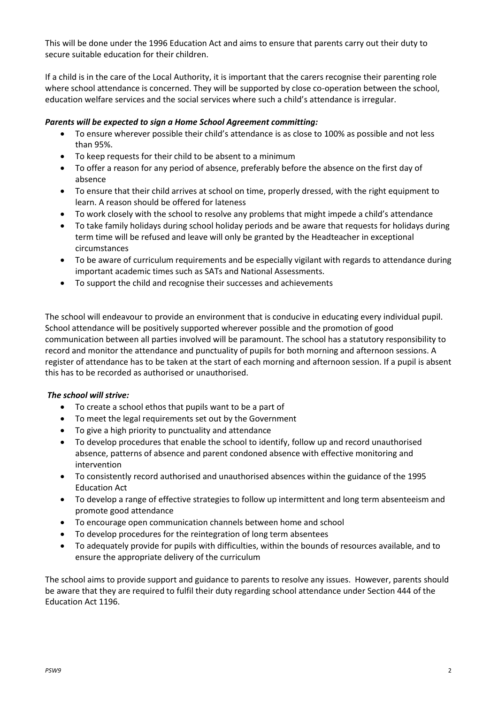This will be done under the 1996 Education Act and aims to ensure that parents carry out their duty to secure suitable education for their children.

If a child is in the care of the Local Authority, it is important that the carers recognise their parenting role where school attendance is concerned. They will be supported by close co-operation between the school, education welfare services and the social services where such a child's attendance is irregular.

## *Parents will be expected to sign a Home School Agreement committing:*

- To ensure wherever possible their child's attendance is as close to 100% as possible and not less than 95%.
- To keep requests for their child to be absent to a minimum
- To offer a reason for any period of absence, preferably before the absence on the first day of absence
- To ensure that their child arrives at school on time, properly dressed, with the right equipment to learn. A reason should be offered for lateness
- To work closely with the school to resolve any problems that might impede a child's attendance
- To take family holidays during school holiday periods and be aware that requests for holidays during term time will be refused and leave will only be granted by the Headteacher in exceptional circumstances
- To be aware of curriculum requirements and be especially vigilant with regards to attendance during important academic times such as SATs and National Assessments.
- To support the child and recognise their successes and achievements

The school will endeavour to provide an environment that is conducive in educating every individual pupil. School attendance will be positively supported wherever possible and the promotion of good communication between all parties involved will be paramount. The school has a statutory responsibility to record and monitor the attendance and punctuality of pupils for both morning and afternoon sessions. A register of attendance has to be taken at the start of each morning and afternoon session. If a pupil is absent this has to be recorded as authorised or unauthorised.

# *The school will strive:*

- To create a school ethos that pupils want to be a part of
- To meet the legal requirements set out by the Government
- To give a high priority to punctuality and attendance
- To develop procedures that enable the school to identify, follow up and record unauthorised absence, patterns of absence and parent condoned absence with effective monitoring and intervention
- To consistently record authorised and unauthorised absences within the guidance of the 1995 Education Act
- To develop a range of effective strategies to follow up intermittent and long term absenteeism and promote good attendance
- To encourage open communication channels between home and school
- To develop procedures for the reintegration of long term absentees
- To adequately provide for pupils with difficulties, within the bounds of resources available, and to ensure the appropriate delivery of the curriculum

The school aims to provide support and guidance to parents to resolve any issues. However, parents should be aware that they are required to fulfil their duty regarding school attendance under Section 444 of the Education Act 1196.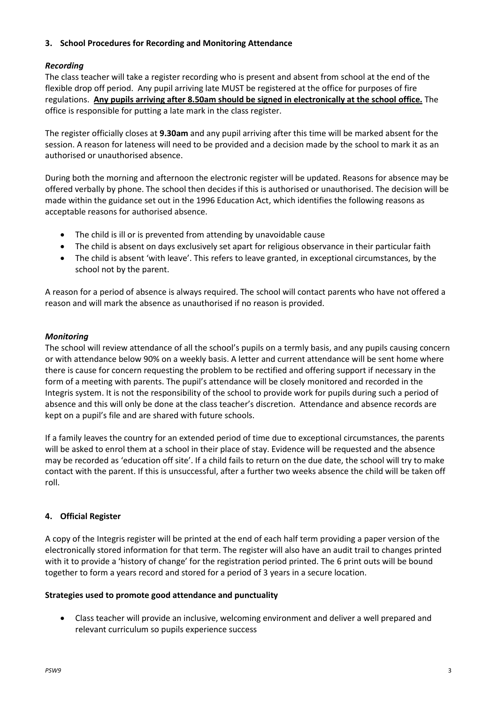## **3. School Procedures for Recording and Monitoring Attendance**

# *Recording*

The class teacher will take a register recording who is present and absent from school at the end of the flexible drop off period. Any pupil arriving late MUST be registered at the office for purposes of fire regulations. **Any pupils arriving after 8.50am should be signed in electronically at the school office.** The office is responsible for putting a late mark in the class register.

The register officially closes at **9.30am** and any pupil arriving after this time will be marked absent for the session. A reason for lateness will need to be provided and a decision made by the school to mark it as an authorised or unauthorised absence.

During both the morning and afternoon the electronic register will be updated. Reasons for absence may be offered verbally by phone. The school then decides if this is authorised or unauthorised. The decision will be made within the guidance set out in the 1996 Education Act, which identifies the following reasons as acceptable reasons for authorised absence.

- The child is ill or is prevented from attending by unavoidable cause
- The child is absent on days exclusively set apart for religious observance in their particular faith
- The child is absent 'with leave'. This refers to leave granted, in exceptional circumstances, by the school not by the parent.

A reason for a period of absence is always required. The school will contact parents who have not offered a reason and will mark the absence as unauthorised if no reason is provided.

### *Monitoring*

The school will review attendance of all the school's pupils on a termly basis, and any pupils causing concern or with attendance below 90% on a weekly basis. A letter and current attendance will be sent home where there is cause for concern requesting the problem to be rectified and offering support if necessary in the form of a meeting with parents. The pupil's attendance will be closely monitored and recorded in the Integris system. It is not the responsibility of the school to provide work for pupils during such a period of absence and this will only be done at the class teacher's discretion. Attendance and absence records are kept on a pupil's file and are shared with future schools.

If a family leaves the country for an extended period of time due to exceptional circumstances, the parents will be asked to enrol them at a school in their place of stay. Evidence will be requested and the absence may be recorded as 'education off site'. If a child fails to return on the due date, the school will try to make contact with the parent. If this is unsuccessful, after a further two weeks absence the child will be taken off roll.

#### **4. Official Register**

A copy of the Integris register will be printed at the end of each half term providing a paper version of the electronically stored information for that term. The register will also have an audit trail to changes printed with it to provide a 'history of change' for the registration period printed. The 6 print outs will be bound together to form a years record and stored for a period of 3 years in a secure location.

#### **Strategies used to promote good attendance and punctuality**

 Class teacher will provide an inclusive, welcoming environment and deliver a well prepared and relevant curriculum so pupils experience success